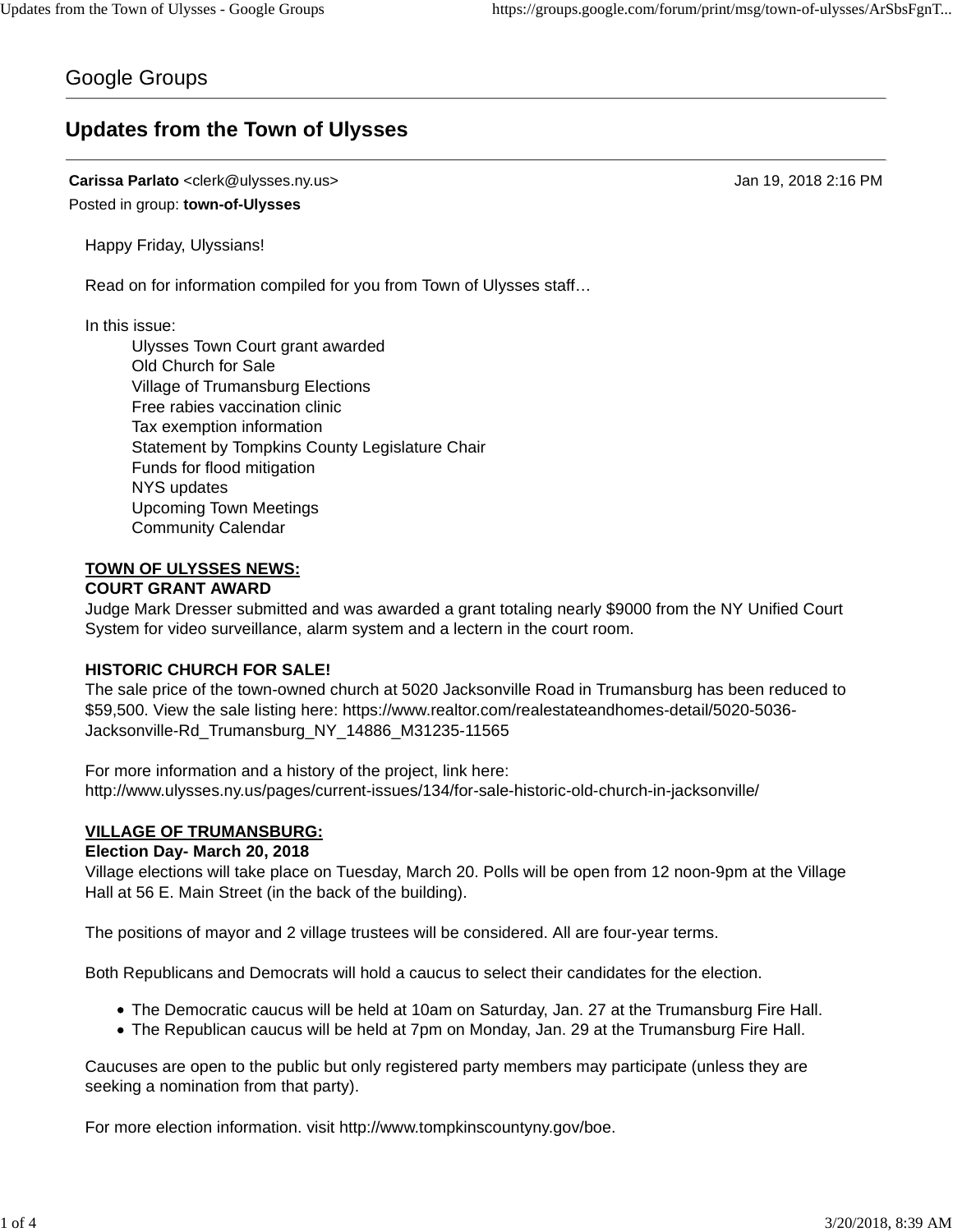# Google Groups

# **Updates from the Town of Ulysses**

**Carissa Parlato** <clerk@ulysses.ny.us> Jan 19, 2018 2:16 PM Posted in group: **town-of-Ulysses**

Happy Friday, Ulyssians!

Read on for information compiled for you from Town of Ulysses staff…

In this issue:

Ulysses Town Court grant awarded Old Church for Sale Village of Trumansburg Elections Free rabies vaccination clinic Tax exemption information Statement by Tompkins County Legislature Chair Funds for flood mitigation NYS updates Upcoming Town Meetings Community Calendar

# **TOWN OF ULYSSES NEWS:**

## **COURT GRANT AWARD**

Judge Mark Dresser submitted and was awarded a grant totaling nearly \$9000 from the NY Unified Court System for video surveillance, alarm system and a lectern in the court room.

### **HISTORIC CHURCH FOR SALE!**

The sale price of the town-owned church at 5020 Jacksonville Road in Trumansburg has been reduced to \$59,500. View the sale listing here: https://www.realtor.com/realestateandhomes-detail/5020-5036- Jacksonville-Rd\_Trumansburg\_NY\_14886\_M31235-11565

For more information and a history of the project, link here: http://www.ulysses.ny.us/pages/current-issues/134/for-sale-historic-old-church-in-jacksonville/

## **VILLAGE OF TRUMANSBURG:**

### **Election Day- March 20, 2018**

Village elections will take place on Tuesday, March 20. Polls will be open from 12 noon-9pm at the Village Hall at 56 E. Main Street (in the back of the building).

The positions of mayor and 2 village trustees will be considered. All are four-year terms.

Both Republicans and Democrats will hold a caucus to select their candidates for the election.

- The Democratic caucus will be held at 10am on Saturday, Jan. 27 at the Trumansburg Fire Hall.
- The Republican caucus will be held at 7pm on Monday, Jan. 29 at the Trumansburg Fire Hall.

Caucuses are open to the public but only registered party members may participate (unless they are seeking a nomination from that party).

For more election information. visit http://www.tompkinscountyny.gov/boe.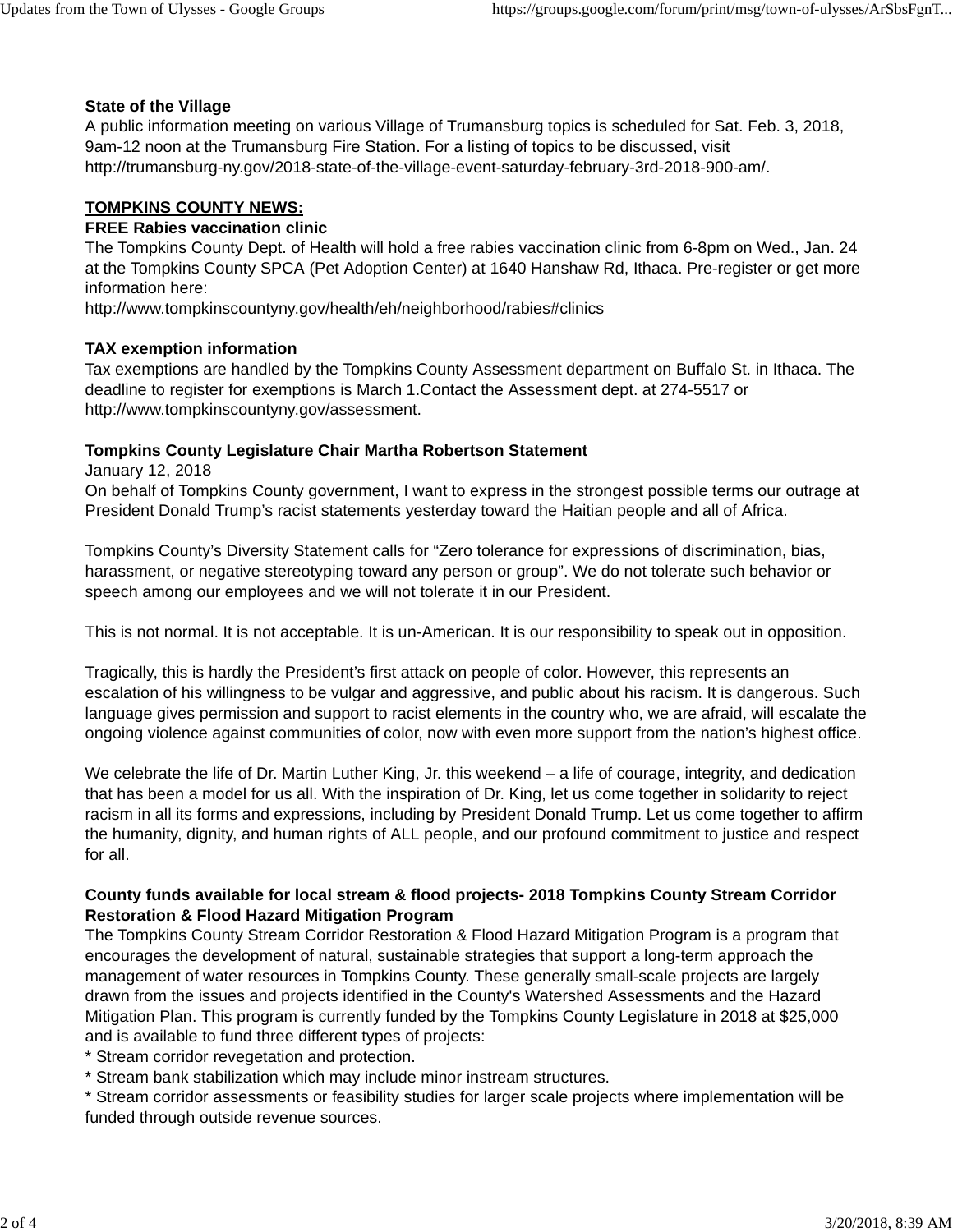#### **State of the Village**

A public information meeting on various Village of Trumansburg topics is scheduled for Sat. Feb. 3, 2018, 9am-12 noon at the Trumansburg Fire Station. For a listing of topics to be discussed, visit http://trumansburg-ny.gov/2018-state-of-the-village-event-saturday-february-3rd-2018-900-am/.

#### **TOMPKINS COUNTY NEWS:**

#### **FREE Rabies vaccination clinic**

The Tompkins County Dept. of Health will hold a free rabies vaccination clinic from 6-8pm on Wed., Jan. 24 at the Tompkins County SPCA (Pet Adoption Center) at 1640 Hanshaw Rd, Ithaca. Pre-register or get more information here:

http://www.tompkinscountyny.gov/health/eh/neighborhood/rabies#clinics

#### **TAX exemption information**

Tax exemptions are handled by the Tompkins County Assessment department on Buffalo St. in Ithaca. The deadline to register for exemptions is March 1.Contact the Assessment dept. at 274-5517 or http://www.tompkinscountyny.gov/assessment.

#### **Tompkins County Legislature Chair Martha Robertson Statement**

January 12, 2018

On behalf of Tompkins County government, I want to express in the strongest possible terms our outrage at President Donald Trump's racist statements yesterday toward the Haitian people and all of Africa.

Tompkins County's Diversity Statement calls for "Zero tolerance for expressions of discrimination, bias, harassment, or negative stereotyping toward any person or group". We do not tolerate such behavior or speech among our employees and we will not tolerate it in our President.

This is not normal. It is not acceptable. It is un-American. It is our responsibility to speak out in opposition.

Tragically, this is hardly the President's first attack on people of color. However, this represents an escalation of his willingness to be vulgar and aggressive, and public about his racism. It is dangerous. Such language gives permission and support to racist elements in the country who, we are afraid, will escalate the ongoing violence against communities of color, now with even more support from the nation's highest office.

We celebrate the life of Dr. Martin Luther King, Jr. this weekend – a life of courage, integrity, and dedication that has been a model for us all. With the inspiration of Dr. King, let us come together in solidarity to reject racism in all its forms and expressions, including by President Donald Trump. Let us come together to affirm the humanity, dignity, and human rights of ALL people, and our profound commitment to justice and respect for all.

### **County funds available for local stream & flood projects- 2018 Tompkins County Stream Corridor Restoration & Flood Hazard Mitigation Program**

The Tompkins County Stream Corridor Restoration & Flood Hazard Mitigation Program is a program that encourages the development of natural, sustainable strategies that support a long-term approach the management of water resources in Tompkins County. These generally small-scale projects are largely drawn from the issues and projects identified in the County's Watershed Assessments and the Hazard Mitigation Plan. This program is currently funded by the Tompkins County Legislature in 2018 at \$25,000 and is available to fund three different types of projects:

\* Stream corridor revegetation and protection.

\* Stream bank stabilization which may include minor instream structures.

\* Stream corridor assessments or feasibility studies for larger scale projects where implementation will be funded through outside revenue sources.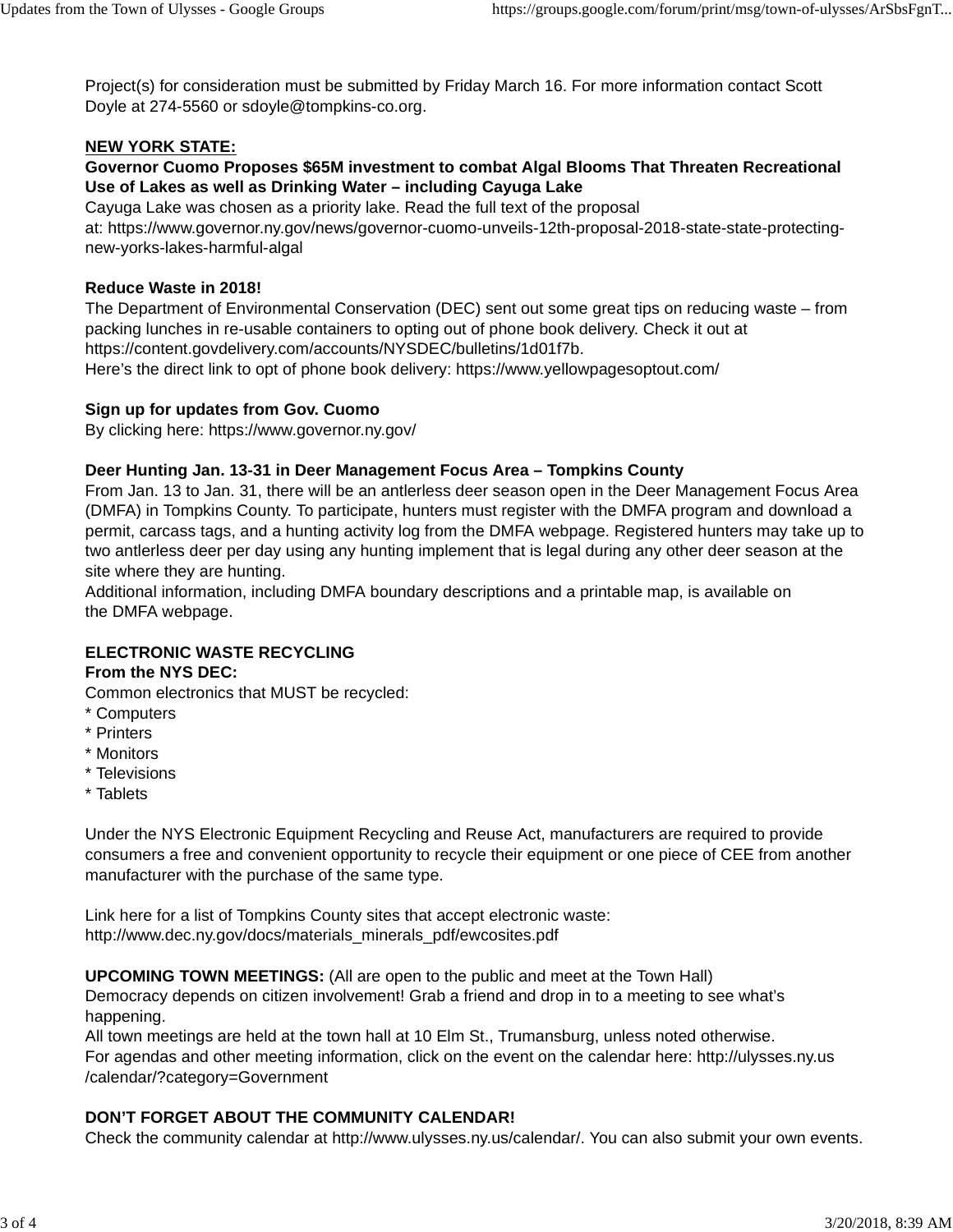Project(s) for consideration must be submitted by Friday March 16. For more information contact Scott Doyle at 274-5560 or sdoyle@tompkins-co.org.

## **NEW YORK STATE:**

**Governor Cuomo Proposes \$65M investment to combat Algal Blooms That Threaten Recreational Use of Lakes as well as Drinking Water – including Cayuga Lake**

Cayuga Lake was chosen as a priority lake. Read the full text of the proposal at: https://www.governor.ny.gov/news/governor-cuomo-unveils-12th-proposal-2018-state-state-protectingnew-yorks-lakes-harmful-algal

## **Reduce Waste in 2018!**

The Department of Environmental Conservation (DEC) sent out some great tips on reducing waste – from packing lunches in re-usable containers to opting out of phone book delivery. Check it out at https://content.govdelivery.com/accounts/NYSDEC/bulletins/1d01f7b. Here's the direct link to opt of phone book delivery: https://www.yellowpagesoptout.com/

# **Sign up for updates from Gov. Cuomo**

By clicking here: https://www.governor.ny.gov/

## **Deer Hunting Jan. 13-31 in Deer Management Focus Area – Tompkins County**

From Jan. 13 to Jan. 31, there will be an antlerless deer season open in the Deer Management Focus Area (DMFA) in Tompkins County. To participate, hunters must register with the DMFA program and download a permit, carcass tags, and a hunting activity log from the DMFA webpage. Registered hunters may take up to two antlerless deer per day using any hunting implement that is legal during any other deer season at the site where they are hunting.

Additional information, including DMFA boundary descriptions and a printable map, is available on the DMFA webpage.

# **ELECTRONIC WASTE RECYCLING**

# **From the NYS DEC:**

Common electronics that MUST be recycled:

- \* Computers
- \* Printers
- \* Monitors
- \* Televisions
- \* Tablets

Under the NYS Electronic Equipment Recycling and Reuse Act, manufacturers are required to provide consumers a free and convenient opportunity to recycle their equipment or one piece of CEE from another manufacturer with the purchase of the same type.

Link here for a list of Tompkins County sites that accept electronic waste: http://www.dec.ny.gov/docs/materials\_minerals\_pdf/ewcosites.pdf

**UPCOMING TOWN MEETINGS:** (All are open to the public and meet at the Town Hall)

Democracy depends on citizen involvement! Grab a friend and drop in to a meeting to see what's happening.

All town meetings are held at the town hall at 10 Elm St., Trumansburg, unless noted otherwise. For agendas and other meeting information, click on the event on the calendar here: http://ulysses.ny.us /calendar/?category=Government

# **DON'T FORGET ABOUT THE COMMUNITY CALENDAR!**

Check the community calendar at http://www.ulysses.ny.us/calendar/. You can also submit your own events.